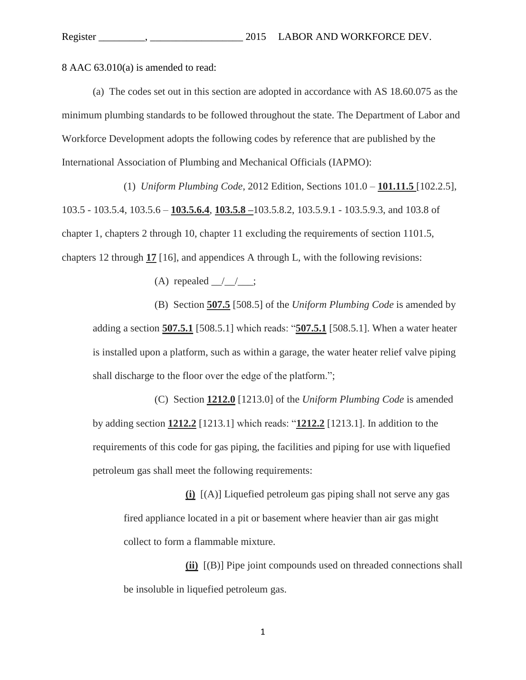8 AAC 63.010(a) is amended to read:

(a) The codes set out in this section are adopted in accordance with AS 18.60.075 as the minimum plumbing standards to be followed throughout the state. The Department of Labor and Workforce Development adopts the following codes by reference that are published by the International Association of Plumbing and Mechanical Officials (IAPMO):

(1) *Uniform Plumbing Code*, 2012 Edition, Sections 101.0 – **101.11.5** [102.2.5], 103.5 - 103.5.4, 103.5.6 – **103.5.6.4**, **103.5.8 –**103.5.8.2, 103.5.9.1 - 103.5.9.3, and 103.8 of chapter 1, chapters 2 through 10, chapter 11 excluding the requirements of section 1101.5, chapters 12 through **17** [16], and appendices A through L, with the following revisions:

(A) repealed  $\frac{\ }{\ }$   $\frac{\ }{\ }$  ;

(B) Section **507.5** [508.5] of the *Uniform Plumbing Code* is amended by adding a section **507.5.1** [508.5.1] which reads: "**507.5.1** [508.5.1]. When a water heater is installed upon a platform, such as within a garage, the water heater relief valve piping shall discharge to the floor over the edge of the platform.";

(C) Section **1212.0** [1213.0] of the *Uniform Plumbing Code* is amended by adding section **1212.2** [1213.1] which reads: "**1212.2** [1213.1]. In addition to the requirements of this code for gas piping, the facilities and piping for use with liquefied petroleum gas shall meet the following requirements:

**(i)** [(A)] Liquefied petroleum gas piping shall not serve any gas fired appliance located in a pit or basement where heavier than air gas might collect to form a flammable mixture.

**(ii)** [(B)] Pipe joint compounds used on threaded connections shall be insoluble in liquefied petroleum gas.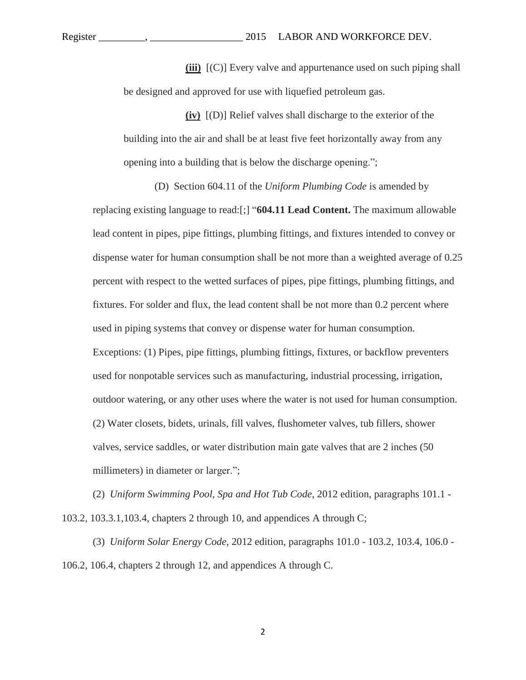Register \_\_\_\_\_\_\_\_\_, \_\_\_\_\_\_\_\_\_\_\_\_\_\_\_\_\_\_ 2015 LABOR AND WORKFORCE DEV.

**(iii)** [(C)] Every valve and appurtenance used on such piping shall be designed and approved for use with liquefied petroleum gas.

**(iv)** [(D)] Relief valves shall discharge to the exterior of the building into the air and shall be at least five feet horizontally away from any opening into a building that is below the discharge opening.";

(D) Section 604.11 of the *Uniform Plumbing Code* is amended by replacing existing language to read:[;] "**604.11 Lead Content.** The maximum allowable lead content in pipes, pipe fittings, plumbing fittings, and fixtures intended to convey or dispense water for human consumption shall be not more than a weighted average of 0.25 percent with respect to the wetted surfaces of pipes, pipe fittings, plumbing fittings, and fixtures. For solder and flux, the lead content shall be not more than 0.2 percent where used in piping systems that convey or dispense water for human consumption. Exceptions: (1) Pipes, pipe fittings, plumbing fittings, fixtures, or backflow preventers used for nonpotable services such as manufacturing, industrial processing, irrigation, outdoor watering, or any other uses where the water is not used for human consumption. (2) Water closets, bidets, urinals, fill valves, flushometer valves, tub fillers, shower valves, service saddles, or water distribution main gate valves that are 2 inches (50 millimeters) in diameter or larger.";

(2) *Uniform Swimming Pool, Spa and Hot Tub Code*, 2012 edition, paragraphs 101.1 - 103.2, 103.3.1,103.4, chapters 2 through 10, and appendices A through C;

(3) *Uniform Solar Energy Code*, 2012 edition, paragraphs 101.0 - 103.2, 103.4, 106.0 - 106.2, 106.4, chapters 2 through 12, and appendices A through C.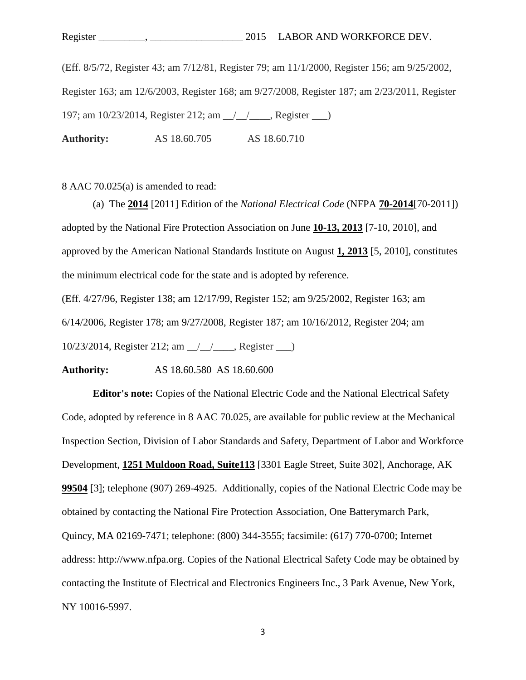(Eff. 8/5/72, Register 43; am 7/12/81, Register 79; am 11/1/2000, Register 156; am 9/25/2002, Register 163; am 12/6/2003, Register 168; am 9/27/2008, Register 187; am 2/23/2011, Register 197; am 10/23/2014, Register 212; am  $\frac{1}{2}$  , Register  $\frac{1}{2}$ **Authority:** AS 18.60.705 AS 18.60.710

8 AAC 70.025(a) is amended to read:

(a)The **2014** [2011] Edition of the *National Electrical Code* (NFPA **70-2014**[70-2011]) adopted by the National Fire Protection Association on June **10-13, 2013** [7-10, 2010], and approved by the American National Standards Institute on August **1, 2013** [5, 2010], constitutes the minimum electrical code for the state and is adopted by reference.

(Eff. 4/27/96, Register 138; am 12/17/99, Register 152; am 9/25/2002, Register 163; am 6/14/2006, Register 178; am 9/27/2008, Register 187; am 10/16/2012, Register 204; am 10/23/2014, Register 212; am / / , Register )

**Authority:** AS 18.60.580 AS 18.60.600

**Editor's note:** Copies of the National Electric Code and the National Electrical Safety Code, adopted by reference in 8 AAC 70.025, are available for public review at the Mechanical Inspection Section, Division of Labor Standards and Safety, Department of Labor and Workforce Development, **1251 Muldoon Road, Suite113** [3301 Eagle Street, Suite 302], Anchorage, AK **99504** [3]; telephone (907) 269-4925. Additionally, copies of the National Electric Code may be obtained by contacting the National Fire Protection Association, One Batterymarch Park, Quincy, MA 02169-7471; telephone: (800) 344-3555; facsimile: (617) 770-0700; Internet address: http://www.nfpa.org. Copies of the National Electrical Safety Code may be obtained by contacting the Institute of Electrical and Electronics Engineers Inc., 3 Park Avenue, New York, NY 10016-5997.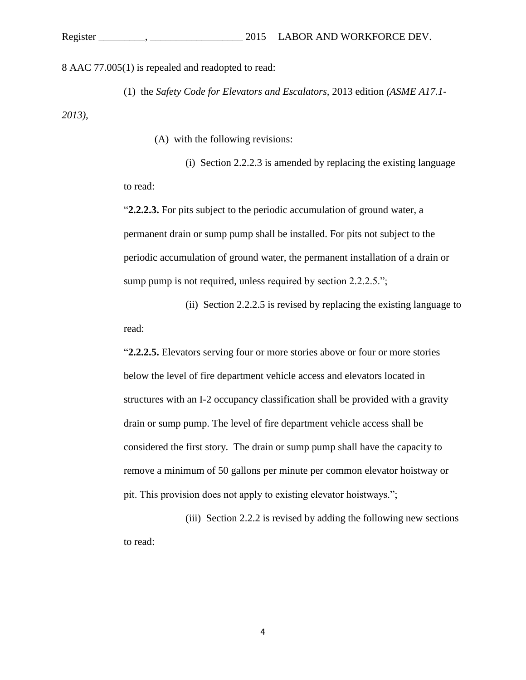8 AAC 77.005(1) is repealed and readopted to read:

(1) the *Safety Code for Elevators and Escalators,* 2013 edition *(ASME A17.1- 2013)*,

(A) with the following revisions:

(i) Section 2.2.2.3 is amended by replacing the existing language to read:

"**2.2.2.3.** For pits subject to the periodic accumulation of ground water, a permanent drain or sump pump shall be installed. For pits not subject to the periodic accumulation of ground water, the permanent installation of a drain or sump pump is not required, unless required by section 2.2.2.5.";

(ii) Section 2.2.2.5 is revised by replacing the existing language to read:

"**2.2.2.5.** Elevators serving four or more stories above or four or more stories below the level of fire department vehicle access and elevators located in structures with an I-2 occupancy classification shall be provided with a gravity drain or sump pump. The level of fire department vehicle access shall be considered the first story. The drain or sump pump shall have the capacity to remove a minimum of 50 gallons per minute per common elevator hoistway or pit. This provision does not apply to existing elevator hoistways.";

(iii) Section 2.2.2 is revised by adding the following new sections to read: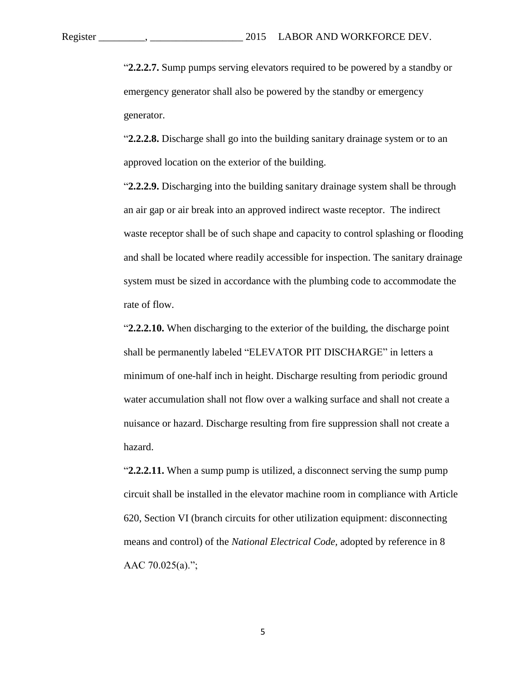"**2.2.2.7.** Sump pumps serving elevators required to be powered by a standby or emergency generator shall also be powered by the standby or emergency generator.

"**2.2.2.8.** Discharge shall go into the building sanitary drainage system or to an approved location on the exterior of the building.

"**2.2.2.9.** Discharging into the building sanitary drainage system shall be through an air gap or air break into an approved indirect waste receptor. The indirect waste receptor shall be of such shape and capacity to control splashing or flooding and shall be located where readily accessible for inspection. The sanitary drainage system must be sized in accordance with the plumbing code to accommodate the rate of flow.

"**2.2.2.10.** When discharging to the exterior of the building, the discharge point shall be permanently labeled "ELEVATOR PIT DISCHARGE" in letters a minimum of one-half inch in height. Discharge resulting from periodic ground water accumulation shall not flow over a walking surface and shall not create a nuisance or hazard. Discharge resulting from fire suppression shall not create a hazard.

"**2.2.2.11.** When a sump pump is utilized, a disconnect serving the sump pump circuit shall be installed in the elevator machine room in compliance with Article 620, Section VI (branch circuits for other utilization equipment: disconnecting means and control) of the *National Electrical Code,* adopted by reference in 8 AAC  $70.025(a)$ .";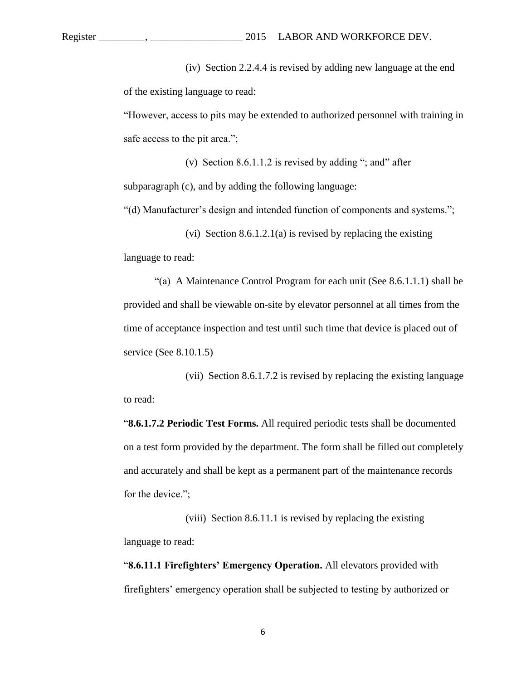(iv) Section 2.2.4.4 is revised by adding new language at the end of the existing language to read:

"However, access to pits may be extended to authorized personnel with training in safe access to the pit area.";

(v) Section  $8.6.1.1.2$  is revised by adding "; and" after subparagraph (c), and by adding the following language:

"(d) Manufacturer's design and intended function of components and systems.";

(vi) Section 8.6.1.2.1(a) is revised by replacing the existing language to read:

"(a) A Maintenance Control Program for each unit (See 8.6.1.1.1) shall be provided and shall be viewable on-site by elevator personnel at all times from the time of acceptance inspection and test until such time that device is placed out of service (See 8.10.1.5)

(vii) Section 8.6.1.7.2 is revised by replacing the existing language to read:

"**8.6.1.7.2 Periodic Test Forms.** All required periodic tests shall be documented on a test form provided by the department. The form shall be filled out completely and accurately and shall be kept as a permanent part of the maintenance records for the device.";

(viii) Section 8.6.11.1 is revised by replacing the existing language to read:

"**8.6.11.1 Firefighters' Emergency Operation.** All elevators provided with firefighters' emergency operation shall be subjected to testing by authorized or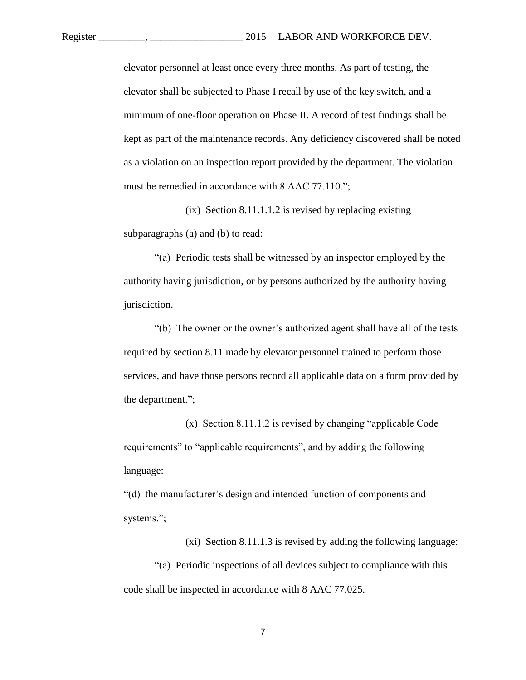elevator personnel at least once every three months. As part of testing, the elevator shall be subjected to Phase I recall by use of the key switch, and a minimum of one-floor operation on Phase II. A record of test findings shall be kept as part of the maintenance records. Any deficiency discovered shall be noted as a violation on an inspection report provided by the department. The violation must be remedied in accordance with 8 AAC 77.110.";

 $(ix)$  Section 8.11.1.1.2 is revised by replacing existing subparagraphs (a) and (b) to read:

"(a) Periodic tests shall be witnessed by an inspector employed by the authority having jurisdiction, or by persons authorized by the authority having jurisdiction.

"(b) The owner or the owner's authorized agent shall have all of the tests required by section 8.11 made by elevator personnel trained to perform those services, and have those persons record all applicable data on a form provided by the department.";

(x) Section 8.11.1.2 is revised by changing "applicable Code requirements" to "applicable requirements", and by adding the following language:

"(d) the manufacturer's design and intended function of components and systems.";

(xi) Section 8.11.1.3 is revised by adding the following language:

"(a) Periodic inspections of all devices subject to compliance with this code shall be inspected in accordance with 8 AAC 77.025.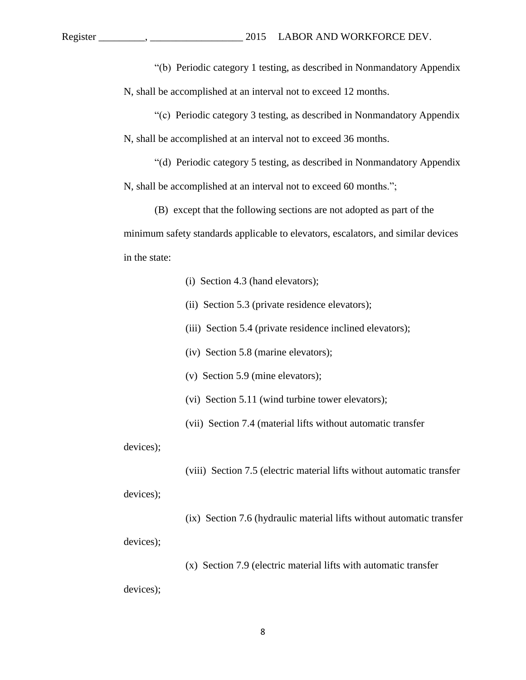"(b) Periodic category 1 testing, as described in Nonmandatory Appendix N, shall be accomplished at an interval not to exceed 12 months.

"(c) Periodic category 3 testing, as described in Nonmandatory Appendix N, shall be accomplished at an interval not to exceed 36 months.

"(d) Periodic category 5 testing, as described in Nonmandatory Appendix N, shall be accomplished at an interval not to exceed 60 months.";

(B) except that the following sections are not adopted as part of the minimum safety standards applicable to elevators, escalators, and similar devices in the state:

(i) Section 4.3 (hand elevators);

- (ii) Section 5.3 (private residence elevators);
- (iii) Section 5.4 (private residence inclined elevators);

(iv) Section 5.8 (marine elevators);

(v) Section 5.9 (mine elevators);

(vi) Section 5.11 (wind turbine tower elevators);

(vii) Section 7.4 (material lifts without automatic transfer

devices);

(viii) Section 7.5 (electric material lifts without automatic transfer

devices);

(ix) Section 7.6 (hydraulic material lifts without automatic transfer

devices);

(x) Section 7.9 (electric material lifts with automatic transfer

devices);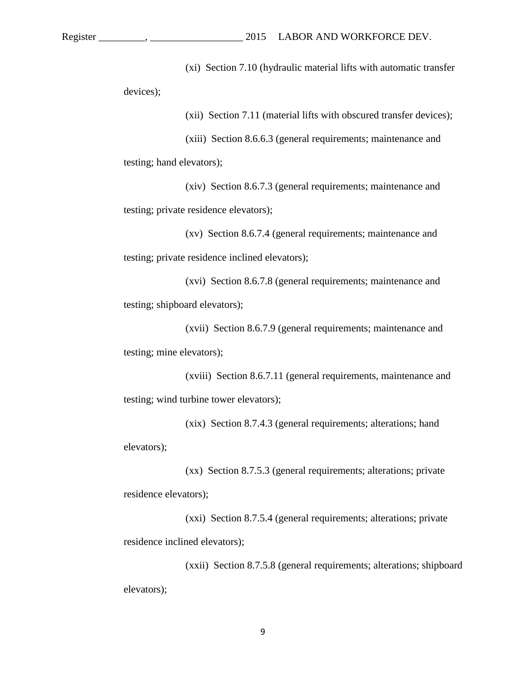(xi) Section 7.10 (hydraulic material lifts with automatic transfer

devices);

(xii) Section 7.11 (material lifts with obscured transfer devices);

(xiii) Section 8.6.6.3 (general requirements; maintenance and

testing; hand elevators);

(xiv) Section 8.6.7.3 (general requirements; maintenance and testing; private residence elevators);

(xv) Section 8.6.7.4 (general requirements; maintenance and testing; private residence inclined elevators);

(xvi) Section 8.6.7.8 (general requirements; maintenance and testing; shipboard elevators);

(xvii) Section 8.6.7.9 (general requirements; maintenance and testing; mine elevators);

(xviii) Section 8.6.7.11 (general requirements, maintenance and testing; wind turbine tower elevators);

(xix) Section 8.7.4.3 (general requirements; alterations; hand elevators);

(xx) Section 8.7.5.3 (general requirements; alterations; private residence elevators);

(xxi) Section 8.7.5.4 (general requirements; alterations; private residence inclined elevators);

(xxii) Section 8.7.5.8 (general requirements; alterations; shipboard elevators);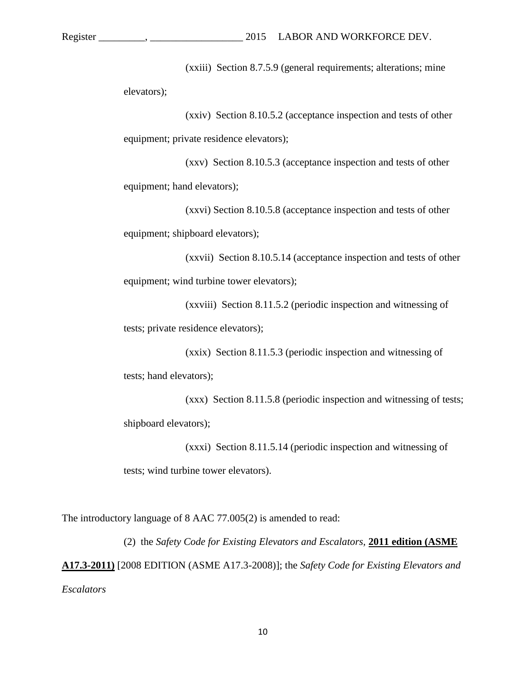(xxiii) Section 8.7.5.9 (general requirements; alterations; mine elevators);

(xxiv) Section 8.10.5.2 (acceptance inspection and tests of other equipment; private residence elevators);

(xxv) Section 8.10.5.3 (acceptance inspection and tests of other equipment; hand elevators);

(xxvi) Section 8.10.5.8 (acceptance inspection and tests of other equipment; shipboard elevators);

(xxvii) Section 8.10.5.14 (acceptance inspection and tests of other equipment; wind turbine tower elevators);

(xxviii) Section 8.11.5.2 (periodic inspection and witnessing of tests; private residence elevators);

(xxix) Section 8.11.5.3 (periodic inspection and witnessing of tests; hand elevators);

(xxx) Section 8.11.5.8 (periodic inspection and witnessing of tests; shipboard elevators);

(xxxi) Section 8.11.5.14 (periodic inspection and witnessing of tests; wind turbine tower elevators).

The introductory language of 8 AAC 77.005(2) is amended to read:

(2) the *Safety Code for Existing Elevators and Escalators,* **2011 edition (ASME A17.3-2011)** [2008 EDITION (ASME A17.3-2008)]; the *Safety Code for Existing Elevators and Escalators*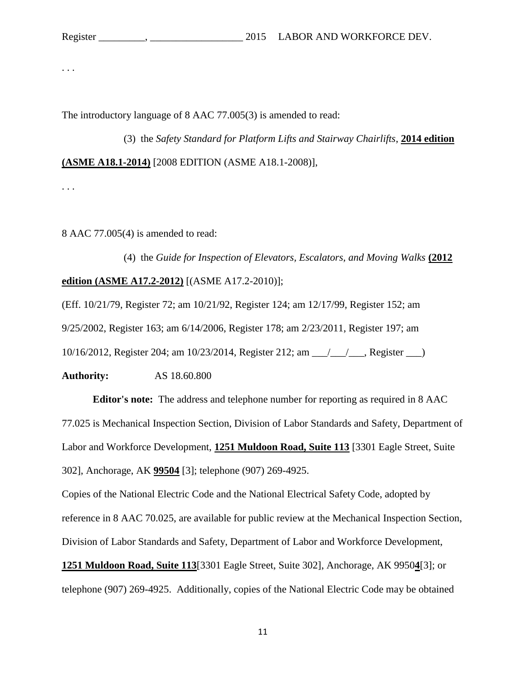. . .

The introductory language of 8 AAC 77.005(3) is amended to read:

(3) the *Safety Standard for Platform Lifts and Stairway Chairlifts*, **2014 edition (ASME A18.1-2014)** [2008 EDITION (ASME A18.1-2008)],

. . .

8 AAC 77.005(4) is amended to read:

(4) the *Guide for Inspection of Elevators, Escalators, and Moving Walks* **(2012 edition (ASME A17.2-2012)** [(ASME A17.2-2010)];

(Eff. 10/21/79, Register 72; am 10/21/92, Register 124; am 12/17/99, Register 152; am 9/25/2002, Register 163; am 6/14/2006, Register 178; am 2/23/2011, Register 197; am 10/16/2012, Register 204; am 10/23/2014, Register 212; am \_\_\_/\_\_\_/\_\_\_, Register \_\_\_)

**Authority:** AS 18.60.800

**Editor's note:** The address and telephone number for reporting as required in 8 AAC 77.025 is Mechanical Inspection Section, Division of Labor Standards and Safety, Department of Labor and Workforce Development, **1251 Muldoon Road, Suite 113** [3301 Eagle Street, Suite 302], Anchorage, AK **99504** [3]; telephone (907) 269-4925.

Copies of the National Electric Code and the National Electrical Safety Code, adopted by reference in 8 AAC 70.025, are available for public review at the Mechanical Inspection Section, Division of Labor Standards and Safety, Department of Labor and Workforce Development, **1251 Muldoon Road, Suite 113**[3301 Eagle Street, Suite 302], Anchorage, AK 9950**4**[3]; or telephone (907) 269-4925. Additionally, copies of the National Electric Code may be obtained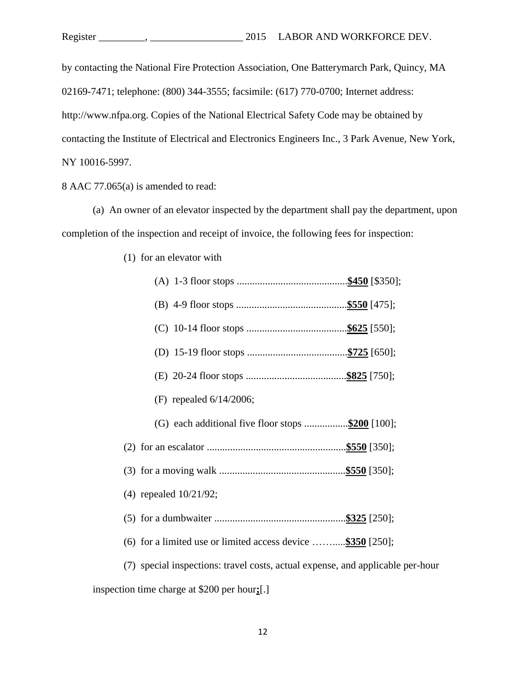by contacting the National Fire Protection Association, One Batterymarch Park, Quincy, MA 02169-7471; telephone: (800) 344-3555; facsimile: (617) 770-0700; Internet address: http://www.nfpa.org. Copies of the National Electrical Safety Code may be obtained by contacting the Institute of Electrical and Electronics Engineers Inc., 3 Park Avenue, New York, NY 10016-5997.

8 AAC 77.065(a) is amended to read:

(a) An owner of an elevator inspected by the department shall pay the department, upon completion of the inspection and receipt of invoice, the following fees for inspection:

| (F) repealed $6/14/2006$ ;                                                     |
|--------------------------------------------------------------------------------|
|                                                                                |
|                                                                                |
|                                                                                |
| $(4)$ repealed $10/21/92$ ;                                                    |
|                                                                                |
| (6) for a limited use or limited access device  \$350 [250];                   |
| (7) special inspections: travel costs, actual expense, and applicable per-hour |
| inspection time charge at \$200 per hours.[.]                                  |

(1) for an elevator with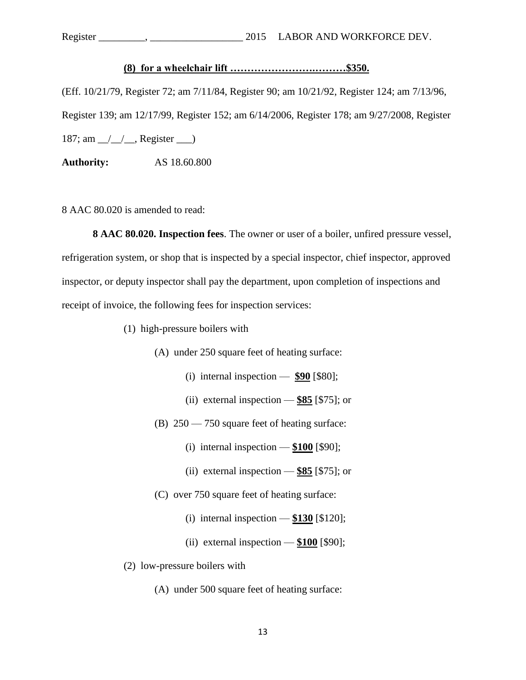Register \_\_\_\_\_\_\_\_\_, \_\_\_\_\_\_\_\_\_\_\_\_\_\_\_\_\_\_ 2015 LABOR AND WORKFORCE DEV.

## **(8) for a wheelchair lift …………………….………\$350.**

(Eff. 10/21/79, Register 72; am 7/11/84, Register 90; am 10/21/92, Register 124; am 7/13/96, Register 139; am 12/17/99, Register 152; am 6/14/2006, Register 178; am 9/27/2008, Register 187; am  $\angle$   $\angle$   $\angle$  Register  $\angle$ 

**Authority:** AS 18.60.800

8 AAC 80.020 is amended to read:

**8 AAC 80.020. Inspection fees**. The owner or user of a boiler, unfired pressure vessel, refrigeration system, or shop that is inspected by a special inspector, chief inspector, approved inspector, or deputy inspector shall pay the department, upon completion of inspections and receipt of invoice, the following fees for inspection services:

- (1) high-pressure boilers with
	- (A) under 250 square feet of heating surface:
		- (i) internal inspection  $\frac{690}{580}$ ;
		- (ii) external inspection **\$85** [\$75]; or
	- (B) 250 750 square feet of heating surface:
		- (i) internal inspection **\$100** [\$90];
		- (ii) external inspection **\$85** [\$75]; or
	- (C) over 750 square feet of heating surface:
		- (i) internal inspection **\$130** [\$120];
		- (ii) external inspection **\$100** [\$90];
- (2) low-pressure boilers with
	- (A) under 500 square feet of heating surface: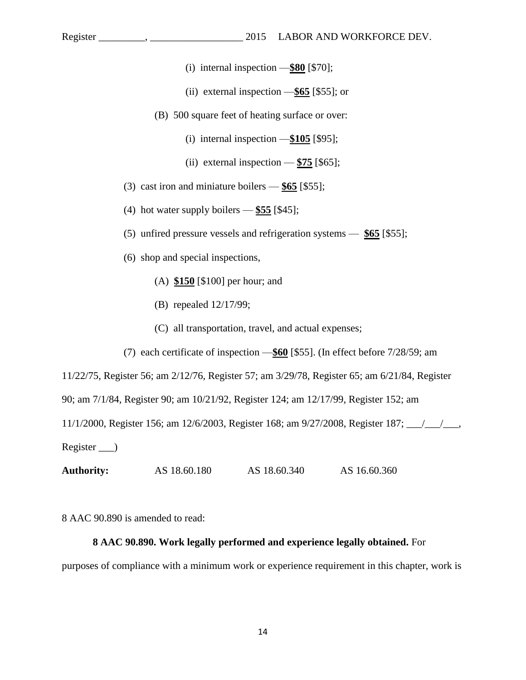- (i) internal inspection —**\$80** [\$70];
- (ii) external inspection —**\$65** [\$55]; or
- (B) 500 square feet of heating surface or over:
	- (i) internal inspection —**\$105** [\$95];
	- (ii) external inspection  $-\frac{$75}{965}$ ;
- (3) cast iron and miniature boilers **\$65** [\$55];
- (4) hot water supply boilers **\$55** [\$45];
- (5) unfired pressure vessels and refrigeration systems **\$65** [\$55];
- (6) shop and special inspections,
	- (A) **\$150** [\$100] per hour; and
	- (B) repealed 12/17/99;
	- (C) all transportation, travel, and actual expenses;
- (7) each certificate of inspection —**\$60** [\$55]. (In effect before 7/28/59; am

11/22/75, Register 56; am 2/12/76, Register 57; am 3/29/78, Register 65; am 6/21/84, Register

90; am 7/1/84, Register 90; am 10/21/92, Register 124; am 12/17/99, Register 152; am

11/1/2000, Register 156; am 12/6/2003, Register 168; am 9/27/2008, Register 187; \_\_\_/\_\_\_/\_\_\_,

Register \_\_\_)

**Authority: AS 18.60.180 AS 18.60.340 AS 16.60.360** 

8 AAC 90.890 is amended to read:

## **8 AAC 90.890. Work legally performed and experience legally obtained.** For

purposes of compliance with a minimum work or experience requirement in this chapter, work is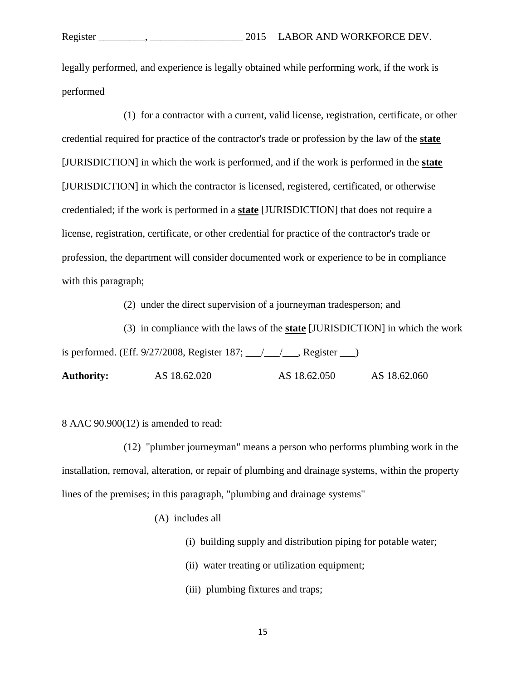legally performed, and experience is legally obtained while performing work, if the work is performed

(1) for a contractor with a current, valid license, registration, certificate, or other credential required for practice of the contractor's trade or profession by the law of the **state** [JURISDICTION] in which the work is performed, and if the work is performed in the **state** [JURISDICTION] in which the contractor is licensed, registered, certificated, or otherwise credentialed; if the work is performed in a **state** [JURISDICTION] that does not require a license, registration, certificate, or other credential for practice of the contractor's trade or profession, the department will consider documented work or experience to be in compliance with this paragraph;

(2) under the direct supervision of a journeyman tradesperson; and

(3) in compliance with the laws of the **state** [JURISDICTION] in which the work is performed. (Eff. 9/27/2008, Register 187;  $\angle$  /  $\angle$ , Register  $\Box$ ) **Authority:** AS 18.62.020 AS 18.62.050 AS 18.62.060

8 AAC 90.900(12) is amended to read:

(12) "plumber journeyman" means a person who performs plumbing work in the installation, removal, alteration, or repair of plumbing and drainage systems, within the property lines of the premises; in this paragraph, "plumbing and drainage systems"

(A) includes all

- (i) building supply and distribution piping for potable water;
- (ii) water treating or utilization equipment;
- (iii) plumbing fixtures and traps;